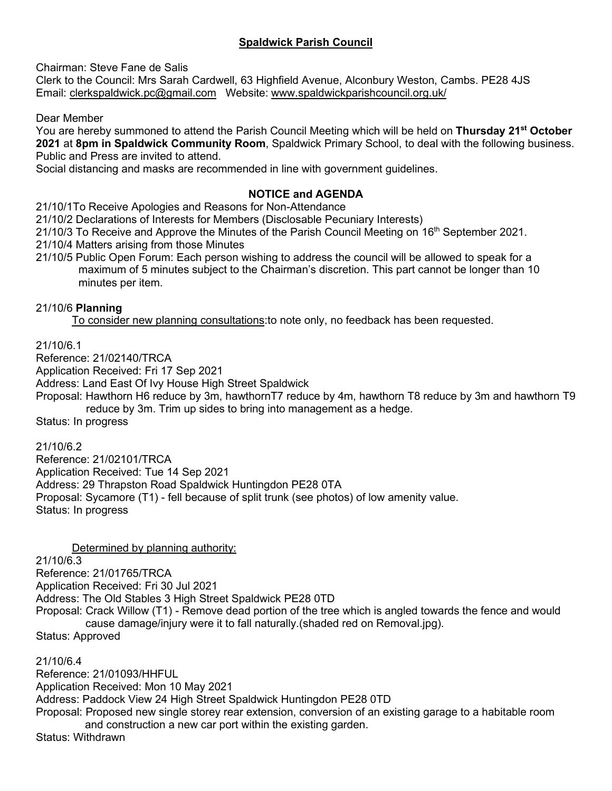# **Spaldwick Parish Council**

Chairman: Steve Fane de Salis

Clerk to the Council: Mrs Sarah Cardwell, 63 Highfield Avenue, Alconbury Weston, Cambs. PE28 4JS Email: [clerkspaldwick.pc@gmail.com](mailto:clerkspaldwick.pc@gmail.com) Website: [www.spaldwickparishcouncil.org.uk/](http://www.spaldwickparishcouncil.org.uk/)

Dear Member

You are hereby summoned to attend the Parish Council Meeting which will be held on **Thursday 21st October 2021** at **8pm in Spaldwick Community Room**, Spaldwick Primary School, to deal with the following business. Public and Press are invited to attend.

Social distancing and masks are recommended in line with government guidelines.

# **NOTICE and AGENDA**

21/10/1To Receive Apologies and Reasons for Non-Attendance

21/10/2 Declarations of Interests for Members (Disclosable Pecuniary Interests)

21/10/3 To Receive and Approve the Minutes of the Parish Council Meeting on 16<sup>th</sup> September 2021.

21/10/4 Matters arising from those Minutes

21/10/5 Public Open Forum: Each person wishing to address the council will be allowed to speak for a maximum of 5 minutes subject to the Chairman's discretion. This part cannot be longer than 10 minutes per item.

### 21/10/6 **Planning**

To consider new planning consultations:to note only, no feedback has been requested.

21/10/6.1

Reference: 21/02140/TRCA

Application Received: Fri 17 Sep 2021

Address: Land East Of Ivy House High Street Spaldwick

Proposal: Hawthorn H6 reduce by 3m, hawthornT7 reduce by 4m, hawthorn T8 reduce by 3m and hawthorn T9 reduce by 3m. Trim up sides to bring into management as a hedge.

Status: In progress

21/10/6.2

Reference: 21/02101/TRCA Application Received: Tue 14 Sep 2021 Address: 29 Thrapston Road Spaldwick Huntingdon PE28 0TA Proposal: Sycamore (T1) - fell because of split trunk (see photos) of low amenity value. Status: In progress

Determined by planning authority:

 $21/10/6.\overline{3}$ 

Reference: 21/01765/TRCA Application Received: Fri 30 Jul 2021 Address: The Old Stables 3 High Street Spaldwick PE28 0TD

Proposal: Crack Willow (T1) - Remove dead portion of the tree which is angled towards the fence and would cause damage/injury were it to fall naturally.(shaded red on Removal.jpg).

Status: Approved

21/10/6.4 Reference: 21/01093/HHFUL Application Received: Mon 10 May 2021 Address: Paddock View 24 High Street Spaldwick Huntingdon PE28 0TD Proposal: Proposed new single storey rear extension, conversion of an existing garage to a habitable room and construction a new car port within the existing garden. Status: Withdrawn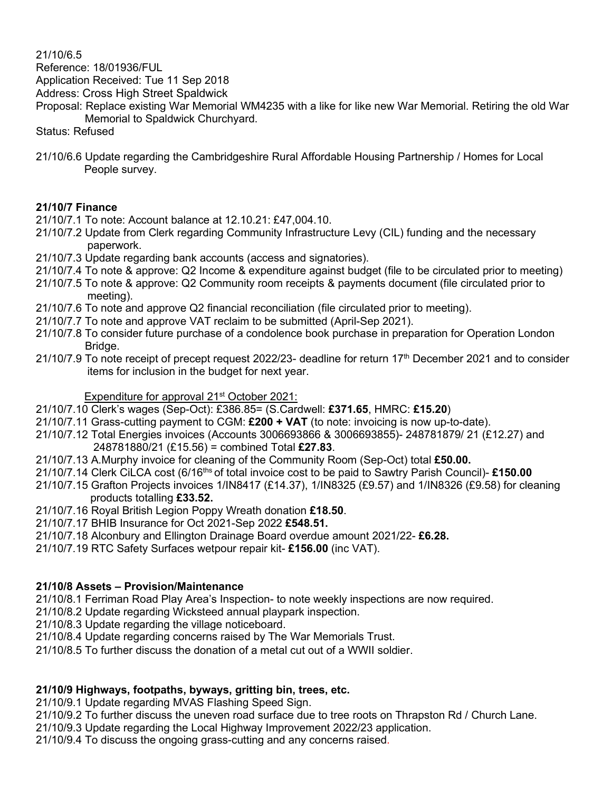21/10/6.5

Reference: 18/01936/FUL

Application Received: Tue 11 Sep 2018

Address: Cross High Street Spaldwick

Proposal: Replace existing War Memorial WM4235 with a like for like new War Memorial. Retiring the old War Memorial to Spaldwick Churchyard.

Status: Refused

21/10/6.6 Update regarding the Cambridgeshire Rural Affordable Housing Partnership / Homes for Local People survey.

### **21/10/7 Finance**

21/10/7.1 To note: Account balance at 12.10.21: £47,004.10.

- 21/10/7.2 Update from Clerk regarding Community Infrastructure Levy (CIL) funding and the necessary paperwork.
- 21/10/7.3 Update regarding bank accounts (access and signatories).
- 21/10/7.4 To note & approve: Q2 Income & expenditure against budget (file to be circulated prior to meeting)
- 21/10/7.5 To note & approve: Q2 Community room receipts & payments document (file circulated prior to meeting).
- 21/10/7.6 To note and approve Q2 financial reconciliation (file circulated prior to meeting).
- 21/10/7.7 To note and approve VAT reclaim to be submitted (April-Sep 2021).
- 21/10/7.8 To consider future purchase of a condolence book purchase in preparation for Operation London Bridge.
- 21/10/7.9 To note receipt of precept request 2022/23- deadline for return 17th December 2021 and to consider items for inclusion in the budget for next year.

### Expenditure for approval 21<sup>st</sup> October 2021:

- 21/10/7.10 Clerk's wages (Sep-Oct): £386.85= (S.Cardwell: **£371.65**, HMRC: **£15.20**)
- 21/10/7.11 Grass-cutting payment to CGM: **£200 + VAT** (to note: invoicing is now up-to-date).
- 21/10/7.12 Total Energies invoices (Accounts 3006693866 & 3006693855)- 248781879/ 21 (£12.27) and 248781880/21 (£15.56) = combined Total **£27.83**.
- 21/10/7.13 A.Murphy invoice for cleaning of the Community Room (Sep-Oct) total **£50.00.**
- 21/10/7.14 Clerk CiLCA cost (6/16ths of total invoice cost to be paid to Sawtry Parish Council)- **£150.00**
- 21/10/7.15 Grafton Projects invoices 1/IN8417 (£14.37), 1/IN8325 (£9.57) and 1/IN8326 (£9.58) for cleaning products totalling **£33.52.**
- 21/10/7.16 Royal British Legion Poppy Wreath donation **£18.50**.
- 21/10/7.17 BHIB Insurance for Oct 2021-Sep 2022 **£548.51.**
- 21/10/7.18 Alconbury and Ellington Drainage Board overdue amount 2021/22- **£6.28.**
- 21/10/7.19 RTC Safety Surfaces wetpour repair kit- **£156.00** (inc VAT).

### **21/10/8 Assets – Provision/Maintenance**

21/10/8.1 Ferriman Road Play Area's Inspection- to note weekly inspections are now required.

21/10/8.2 Update regarding Wicksteed annual playpark inspection.

21/10/8.3 Update regarding the village noticeboard.

21/10/8.4 Update regarding concerns raised by The War Memorials Trust.

21/10/8.5 To further discuss the donation of a metal cut out of a WWII soldier.

### **21/10/9 Highways, footpaths, byways, gritting bin, trees, etc.**

21/10/9.1 Update regarding MVAS Flashing Speed Sign.

21/10/9.2 To further discuss the uneven road surface due to tree roots on Thrapston Rd / Church Lane.

21/10/9.3 Update regarding the Local Highway Improvement 2022/23 application.

21/10/9.4 To discuss the ongoing grass-cutting and any concerns raised.